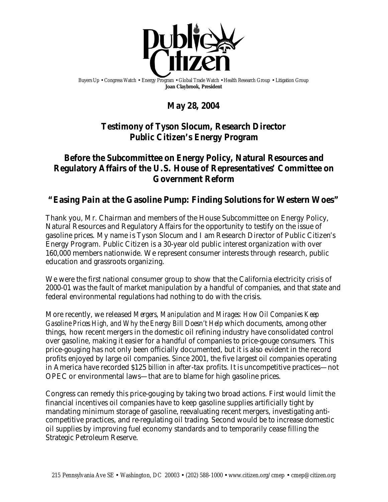

Buyers Up • Congress Watch • Energy Program • Global Trade Watch • Health Research Group • Litigation Group **Joan Claybrook, President**

# **May 28, 2004**

## **Testimony of Tyson Slocum, Research Director Public Citizen's Energy Program**

## **Before the Subcommittee on Energy Policy, Natural Resources and Regulatory Affairs of the U.S. House of Representatives' Committee on Government Reform**

## **"Easing Pain at the Gasoline Pump: Finding Solutions for Western Woes"**

Thank you, Mr. Chairman and members of the House Subcommittee on Energy Policy, Natural Resources and Regulatory Affairs for the opportunity to testify on the issue of gasoline prices. My name is Tyson Slocum and I am Research Director of Public Citizen's Energy Program. Public Citizen is a 30-year old public interest organization with over 160,000 members nationwide. We represent consumer interests through research, public education and grassroots organizing.

We were the first national consumer group to show that the California electricity crisis of 2000-01 was the fault of market manipulation by a handful of companies, and that state and federal environmental regulations had nothing to do with the crisis.

More recently, we released *Mergers, Manipulation and Mirages: How Oil Companies Keep Gasoline Prices High, and Why the Energy Bill Doesn't Help* which documents, among other things, how recent mergers in the domestic oil refining industry have consolidated control over gasoline, making it easier for a handful of companies to price-gouge consumers. This price-gouging has not only been officially documented, but it is also evident in the record profits enjoyed by large oil companies. Since 2001, the five largest oil companies operating in America have recorded \$125 *billion* in after-tax profits. It is uncompetitive practices—not OPEC or environmental laws—that are to blame for high gasoline prices.

Congress can remedy this price-gouging by taking two broad actions. First would limit the financial incentives oil companies have to keep gasoline supplies artificially tight by mandating minimum storage of gasoline, reevaluating recent mergers, investigating anticompetitive practices, and re-regulating oil trading. Second would be to increase domestic oil supplies by improving fuel economy standards and to temporarily cease filling the Strategic Petroleum Reserve.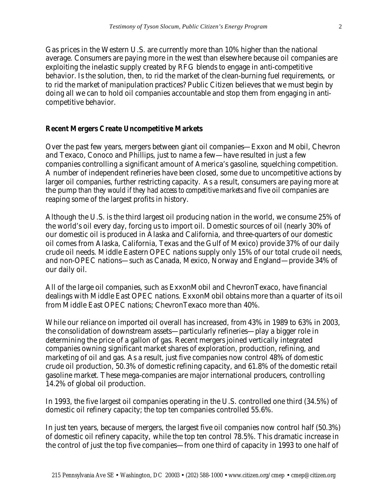Gas prices in the Western U.S. are currently more than 10% higher than the national average. Consumers are paying more in the west than elsewhere because oil companies are exploiting the inelastic supply created by RFG blends to engage in anti-competitive behavior. Is the solution, then, to rid the market of the clean-burning fuel requirements, or to rid the market of manipulation practices? Public Citizen believes that we must begin by doing all we can to hold oil companies accountable and stop them from engaging in anticompetitive behavior.

### **Recent Mergers Create Uncompetitive Markets**

Over the past few years, mergers between giant oil companies—Exxon and Mobil, Chevron and Texaco, Conoco and Phillips, just to name a few—have resulted in just a few companies controlling a significant amount of America's gasoline, squelching competition. A number of independent refineries have been closed, some due to uncompetitive actions by larger oil companies, further restricting capacity. As a result, consumers are paying more at the pump *than they would if they had access to competitive markets* and five oil companies are reaping some of the largest profits in history.

Although the U.S. is the third largest oil producing nation in the world, we consume 25% of the world's oil every day, forcing us to import oil. Domestic sources of oil (nearly 30% of our domestic oil is produced in Alaska and California, and three-quarters of our domestic oil comes from Alaska, California, Texas and the Gulf of Mexico) provide 37% of our daily crude oil needs. Middle Eastern OPEC nations supply only 15% of our total crude oil needs, and non-OPEC nations—such as Canada, Mexico, Norway and England—provide 34% of our daily oil.

All of the large oil companies, such as ExxonMobil and ChevronTexaco, have financial dealings with Middle East OPEC nations. ExxonMobil obtains more than a quarter of its oil from Middle East OPEC nations; ChevronTexaco more than 40%.

While our reliance on imported oil overall has increased, from 43% in 1989 to 63% in 2003, the consolidation of downstream assets—particularly refineries—play a bigger role in determining the price of a gallon of gas. Recent mergers joined vertically integrated companies owning significant market shares of exploration, production, refining, and marketing of oil and gas. As a result, just five companies now control 48% of domestic crude oil production, 50.3% of domestic refining capacity, and 61.8% of the domestic retail gasoline market. These mega-companies are major international producers, controlling 14.2% of global oil production.

In 1993, the five largest oil companies operating in the U.S. controlled one third (34.5%) of domestic oil refinery capacity; the top ten companies controlled 55.6%.

In just ten years, because of mergers, the largest five oil companies now control half (50.3%) of domestic oil refinery capacity, while the top ten control 78.5%. This dramatic increase in the control of just the top five companies—from one third of capacity in 1993 to one half of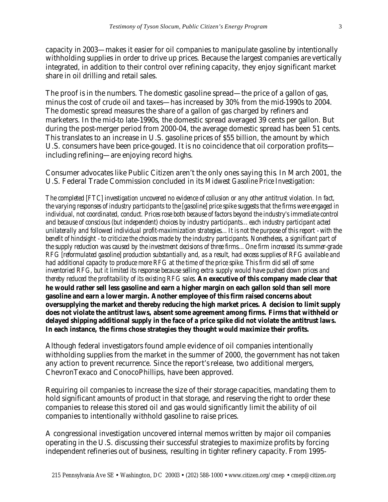capacity in 2003—makes it easier for oil companies to manipulate gasoline by intentionally withholding supplies in order to drive up prices. Because the largest companies are vertically integrated, in addition to their control over refining capacity, they enjoy significant market share in oil drilling and retail sales.

The proof is in the numbers. The domestic gasoline spread—the price of a gallon of gas, minus the cost of crude oil and taxes—has increased by 30% from the mid-1990s to 2004. The domestic spread measures the share of a gallon of gas charged by refiners and marketers. In the mid-to late-1990s, the domestic spread averaged 39 cents per gallon. But during the post-merger period from 2000-04, the average domestic spread has been 51 cents. This translates to an increase in U.S. gasoline prices of \$55 billion, the amount by which U.S. consumers have been price-gouged. It is no coincidence that oil corporation profits including refining—are enjoying record highs.

Consumer advocates like Public Citizen aren't the only ones saying this. In March 2001, the U.S. Federal Trade Commission concluded in its *Midwest Gasoline Price Investigation*:

*The completed [FTC] investigation uncovered no evidence of collusion or any other antitrust violation. In fact, the varying responses of industry participants to the [gasoline] price spike suggests that the firms were engaged in individual, not coordinated, conduct. Prices rose both because of factors beyond the industry's immediate control and because of conscious (but independent) choices by industry participants…each industry participant acted unilaterally and followed individual profit-maximization strategies…It is not the purpose of this report - with the benefit of hindsight - to criticize the choices made by the industry participants. Nonetheless, a significant part of the supply reduction was caused by the investment decisions of three firms…One firm increased its summer-grade RFG [reformulated gasoline] production substantially and, as a result, had excess supplies of RFG available and had additional capacity to produce more RFG at the time of the price spike. This firm did sell off some inventoried RFG, but it limited its response because selling extra supply would have pushed down prices and thereby reduced the profitability of its existing RFG sales. An executive of this company made clear that he would rather sell less gasoline and earn a higher margin on each gallon sold than sell more gasoline and earn a lower margin. Another employee of this firm raised concerns about oversupplying the market and thereby reducing the high market prices. A decision to limit supply does not violate the antitrust laws, absent some agreement among firms. Firms that withheld or delayed shipping additional supply in the face of a price spike did not violate the antitrust laws. In each instance, the firms chose strategies they thought would maximize their profits.*

Although federal investigators found ample evidence of oil companies intentionally withholding supplies from the market in the summer of 2000, the government has not taken any action to prevent recurrence. Since the report's release, two additional mergers, ChevronTexaco and ConocoPhillips, have been approved.

Requiring oil companies to increase the size of their storage capacities, mandating them to hold significant amounts of product in that storage, and reserving the right to order these companies to release this stored oil and gas would significantly limit the ability of oil companies to intentionally withhold gasoline to raise prices.

A congressional investigation uncovered internal memos written by major oil companies operating in the U.S. discussing their successful strategies to maximize profits by forcing independent refineries out of business, resulting in tighter refinery capacity. From 1995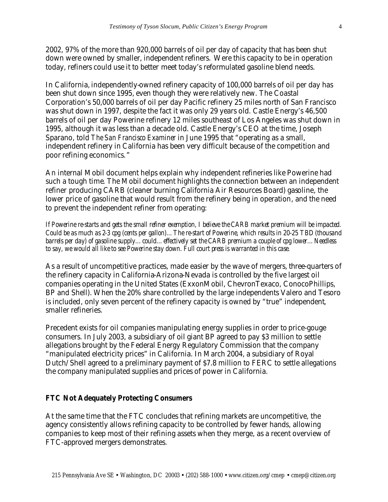2002, 97% of the more than 920,000 barrels of oil per day of capacity that has been shut down were owned by smaller, independent refiners. Were this capacity to be in operation today, refiners could use it to better meet today's reformulated gasoline blend needs.

In California, independently-owned refinery capacity of 100,000 barrels of oil per day has been shut down since 1995, even though they were relatively new. The Coastal Corporation's 50,000 barrels of oil per day Pacific refinery 25 miles north of San Francisco was shut down in 1997, despite the fact it was only 29 years old. Castle Energy's 46,500 barrels of oil per day Powerine refinery 12 miles southeast of Los Angeles was shut down in 1995, although it was less than a decade old. Castle Energy's CEO at the time, Joseph Sparano, told *The San Francisco Examiner* in June 1995 that "operating as a small, independent refinery in California has been very difficult because of the competition and poor refining economics."

An internal Mobil document helps explain why independent refineries like Powerine had such a tough time. The Mobil document highlights the connection between an independent refiner producing CARB (cleaner burning California Air Resources Board) gasoline, the lower price of gasoline that would result from the refinery being in operation, and the need to prevent the independent refiner from operating:

*If Powerine re-starts and gets the small refiner exemption, I believe the CARB market premium will be impacted. Could be as much as 2-3 cpg (cents per gallon)…The re-start of Powerine, which results in 20-25 TBD(thousand barrels per day) of gasoline supply…could…effectively set the CARB premium a couple of cpg lower…Needless to say, we would all like to see Powerine stay down. Full court press is warranted in this case.*

As a result of uncompetitive practices, made easier by the wave of mergers, three-quarters of the refinery capacity in California-Arizona-Nevada is controlled by the five largest oil companies operating in the United States (ExxonMobil, ChevronTexaco, ConocoPhillips, BP and Shell). When the 20% share controlled by the large independents Valero and Tesoro is included, only seven percent of the refinery capacity is owned by "true" independent, smaller refineries.

Precedent exists for oil companies manipulating energy supplies in order to price-gouge consumers. In July 2003, a subsidiary of oil giant BP agreed to pay \$3 million to settle allegations brought by the Federal Energy Regulatory Commission that the company "manipulated electricity prices" in California. In March 2004, a subsidiary of Royal Dutch/Shell agreed to a preliminary payment of \$7.8 million to FERC to settle allegations the company manipulated supplies and prices of power in California.

### **FTC Not Adequately Protecting Consumers**

At the same time that the FTC concludes that refining markets are uncompetitive, the agency consistently allows refining capacity to be controlled by fewer hands, allowing companies to keep most of their refining assets when they merge, as a recent overview of FTC-approved mergers demonstrates.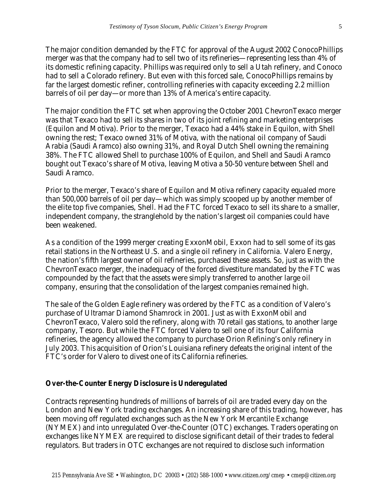The major condition demanded by the FTC for approval of the August 2002 ConocoPhillips merger was that the company had to sell two of its refineries—representing less than 4% of its domestic refining capacity. Phillips was required only to sell a Utah refinery, and Conoco had to sell a Colorado refinery. But even with this forced sale, ConocoPhillips remains by far the largest domestic refiner, controlling refineries with capacity exceeding 2.2 million barrels of oil per day—or more than 13% of America's entire capacity.

The major condition the FTC set when approving the October 2001 ChevronTexaco merger was that Texaco had to sell its shares in two of its joint refining and marketing enterprises (Equilon and Motiva). Prior to the merger, Texaco had a 44% stake in Equilon, with Shell owning the rest; Texaco owned 31% of Motiva, with the national oil company of Saudi Arabia (Saudi Aramco) also owning 31%, and Royal Dutch Shell owning the remaining 38%. The FTC allowed Shell to purchase 100% of Equilon, and Shell and Saudi Aramco bought out Texaco's share of Motiva, leaving Motiva a 50-50 venture between Shell and Saudi Aramco.

Prior to the merger, Texaco's share of Equilon and Motiva refinery capacity equaled more than 500,000 barrels of oil per day—which was simply scooped up by another member of the elite top five companies, Shell. Had the FTC forced Texaco to sell its share to a smaller, independent company, the stranglehold by the nation's largest oil companies could have been weakened.

As a condition of the 1999 merger creating ExxonMobil, Exxon had to sell some of its gas retail stations in the Northeast U.S. and a single oil refinery in California. Valero Energy, the nation's fifth largest owner of oil refineries, purchased these assets. So, just as with the ChevronTexaco merger, the inadequacy of the forced divestiture mandated by the FTC was compounded by the fact that the assets were simply transferred to another large oil company, ensuring that the consolidation of the largest companies remained high.

The sale of the Golden Eagle refinery was ordered by the FTC as a condition of Valero's purchase of Ultramar Diamond Shamrock in 2001. Just as with ExxonMobil and ChevronTexaco, Valero sold the refinery, along with 70 retail gas stations, to another large company, Tesoro. But while the FTC forced Valero to sell one of its four California refineries, the agency allowed the company to purchase Orion Refining's only refinery in July 2003. This acquisition of Orion's Louisiana refinery defeats the original intent of the FTC's order for Valero to divest one of its California refineries.

## **Over-the-Counter Energy Disclosure is Underegulated**

Contracts representing hundreds of millions of barrels of oil are traded every day on the London and New York trading exchanges. An increasing share of this trading, however, has been moving off regulated exchanges such as the New York Mercantile Exchange (NYMEX) and into unregulated Over-the-Counter (OTC) exchanges. Traders operating on exchanges like NYMEX are required to disclose significant detail of their trades to federal regulators. But traders in OTC exchanges are not required to disclose such information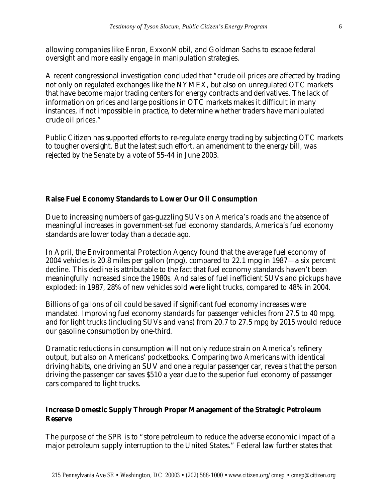allowing companies like Enron, ExxonMobil, and Goldman Sachs to escape federal oversight and more easily engage in manipulation strategies.

A recent congressional investigation concluded that "crude oil prices are affected by trading not only on regulated exchanges like the NYMEX, but also on unregulated OTC markets that have become major trading centers for energy contracts and derivatives. The lack of information on prices and large positions in OTC markets makes it difficult in many instances, if not impossible in practice, to determine whether traders have manipulated crude oil prices."

Public Citizen has supported efforts to re-regulate energy trading by subjecting OTC markets to tougher oversight. But the latest such effort, an amendment to the energy bill, was rejected by the Senate by a vote of 55-44 in June 2003.

### **Raise Fuel Economy Standards to Lower Our Oil Consumption**

Due to increasing numbers of gas-guzzling SUVs on America's roads and the absence of meaningful increases in government-set fuel economy standards, America's fuel economy standards are lower today than a decade ago.

In April, the Environmental Protection Agency found that the average fuel economy of 2004 vehicles is 20.8 miles per gallon (mpg), compared to 22.1 mpg in 1987—a six percent decline. This decline is attributable to the fact that fuel economy standards haven't been meaningfully increased since the 1980s. And sales of fuel inefficient SUVs and pickups have exploded: in 1987, 28% of new vehicles sold were light trucks, compared to 48% in 2004.

Billions of gallons of oil could be saved if significant fuel economy increases were mandated. Improving fuel economy standards for passenger vehicles from 27.5 to 40 mpg, and for light trucks (including SUVs and vans) from 20.7 to 27.5 mpg by 2015 would reduce our gasoline consumption by one-third.

Dramatic reductions in consumption will not only reduce strain on America's refinery output, but also on Americans' pocketbooks. Comparing two Americans with identical driving habits, one driving an SUV and one a regular passenger car, reveals that the person driving the passenger car saves \$510 a year due to the superior fuel economy of passenger cars compared to light trucks.

### **Increase Domestic Supply Through Proper Management of the Strategic Petroleum Reserve**

The purpose of the SPR is to "store petroleum to reduce the adverse economic impact of a major petroleum supply interruption to the United States." Federal law further states that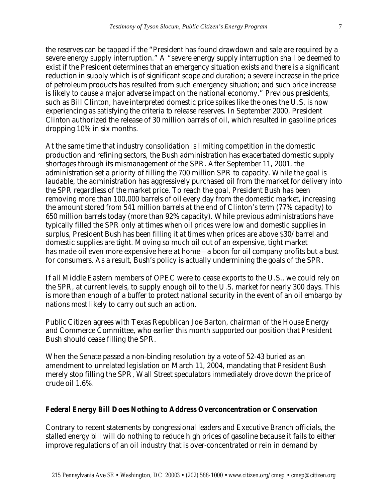the reserves can be tapped if the "President has found drawdown and sale are required by a severe energy supply interruption." A "severe energy supply interruption shall be deemed to exist if the President determines that an emergency situation exists and there is a significant reduction in supply which is of significant scope and duration; a severe increase in the price of petroleum products has resulted from such emergency situation; and such price increase is likely to cause a major adverse impact on the national economy." Previous presidents, such as Bill Clinton, have interpreted domestic price spikes like the ones the U.S. is now experiencing as satisfying the criteria to release reserves. In September 2000, President Clinton authorized the release of 30 million barrels of oil, which resulted in gasoline prices dropping 10% in six months.

At the same time that industry consolidation is limiting competition in the domestic production and refining sectors, the Bush administration has exacerbated domestic supply shortages through its mismanagement of the SPR. After September 11, 2001, the administration set a priority of filling the 700 million SPR to capacity. While the goal is laudable, the administration has aggressively purchased oil from the market for delivery into the SPR regardless of the market price. To reach the goal, President Bush has been removing more than 100,000 barrels of oil every day from the domestic market, increasing the amount stored from 541 million barrels at the end of Clinton's term (77% capacity) to 650 million barrels today (more than 92% capacity). While previous administrations have typically filled the SPR only at times when oil prices were low and domestic supplies in surplus, President Bush has been filling it at times when prices are above \$30/barrel and domestic supplies are tight. Moving so much oil out of an expensive, tight market has made oil even more expensive here at home—a boon for oil company profits but a bust for consumers. As a result, Bush's policy is actually undermining the goals of the SPR.

If all Middle Eastern members of OPEC were to cease exports to the U.S., we could rely on the SPR, at current levels, to supply enough oil to the U.S. market for nearly 300 days. This is more than enough of a buffer to protect national security in the event of an oil embargo by nations most likely to carry out such an action.

Public Citizen agrees with Texas Republican Joe Barton, chairman of the House Energy and Commerce Committee, who earlier this month supported our position that President Bush should cease filling the SPR.

When the Senate passed a non-binding resolution by a vote of 52-43 buried as an amendment to unrelated legislation on March 11, 2004, mandating that President Bush merely stop filling the SPR, Wall Street speculators immediately drove down the price of crude oil 1.6%.

### **Federal Energy Bill Does Nothing to Address Overconcentration or Conservation**

Contrary to recent statements by congressional leaders and Executive Branch officials, the stalled energy bill will do nothing to reduce high prices of gasoline because it fails to either improve regulations of an oil industry that is over-concentrated or rein in demand by